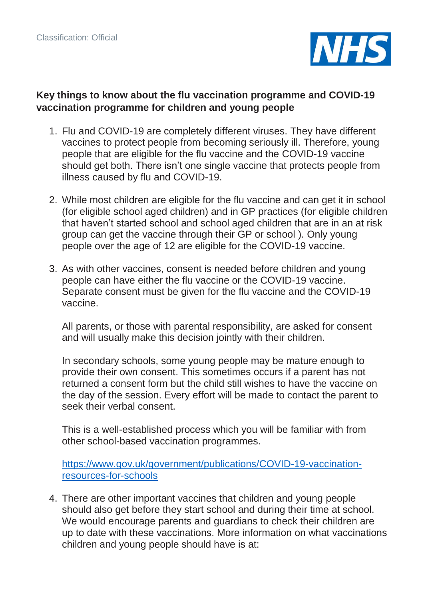

#### **Key things to know about the flu vaccination programme and COVID-19 vaccination programme for children and young people**

- 1. Flu and COVID-19 are completely different viruses. They have different vaccines to protect people from becoming seriously ill. Therefore, young people that are eligible for the flu vaccine and the COVID-19 vaccine should get both. There isn't one single vaccine that protects people from illness caused by flu and COVID-19.
- 2. While most children are eligible for the flu vaccine and can get it in school (for eligible school aged children) and in GP practices (for eligible children that haven't started school and school aged children that are in an at risk group can get the vaccine through their GP or school ). Only young people over the age of 12 are eligible for the COVID-19 vaccine.
- 3. As with other vaccines, consent is needed before children and young people can have either the flu vaccine or the COVID-19 vaccine. Separate consent must be given for the flu vaccine and the COVID-19 vaccine.

All parents, or those with parental responsibility, are asked for consent and will usually make this decision jointly with their children.

In secondary schools, some young people may be mature enough to provide their own consent. This sometimes occurs if a parent has not returned a consent form but the child still wishes to have the vaccine on the day of the session. Every effort will be made to contact the parent to seek their verbal consent.

This is a well-established process which you will be familiar with from other school-based vaccination programmes.

[https://www.gov.uk/government/publications/COVID-19-vaccination](https://www.gov.uk/government/publications/covid-19-vaccination-resources-for-schools)[resources-for-schools](https://www.gov.uk/government/publications/covid-19-vaccination-resources-for-schools)

4. There are other important vaccines that children and young people should also get before they start school and during their time at school. We would encourage parents and guardians to check their children are up to date with these vaccinations. More information on what vaccinations children and young people should have is at: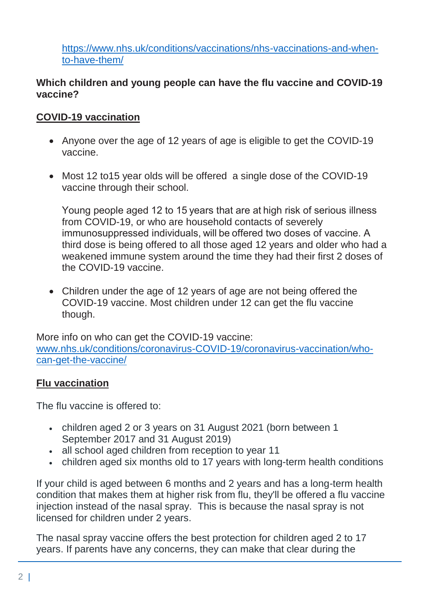[https://www.nhs.uk/conditions/vaccinations/nhs-vaccinations-and-when](https://www.nhs.uk/conditions/vaccinations/nhs-vaccinations-and-when-to-have-them/)[to-have-them/](https://www.nhs.uk/conditions/vaccinations/nhs-vaccinations-and-when-to-have-them/)

#### **Which children and young people can have the flu vaccine and COVID-19 vaccine?**

# **COVID-19 vaccination**

- Anyone over the age of 12 years of age is eligible to get the COVID-19 vaccine.
- Most 12 to 15 year olds will be offered a single dose of the COVID-19 vaccine through their school.

Young people aged 12 to 15 years that are at high risk of serious illness from COVID-19, or who are household contacts of severely immunosuppressed individuals, will be offered two doses of vaccine. A third dose is being offered to all those aged 12 years and older who had a weakened immune system around the time they had their first 2 doses of the COVID-19 vaccine.

• Children under the age of 12 years of age are not being offered the COVID-19 vaccine. Most children under 12 can get the flu vaccine though.

More info on who can get the COVID-19 vaccine: [www.nhs.uk/conditions/coronavirus-COVID-19/coronavirus-vaccination/who](http://www.nhs.uk/conditions/coronavirus-covid-19/coronavirus-vaccination/who-can-get-the-vaccine/)[can-get-the-vaccine/](http://www.nhs.uk/conditions/coronavirus-covid-19/coronavirus-vaccination/who-can-get-the-vaccine/)

#### **Flu vaccination**

The flu vaccine is offered to:

- children aged 2 or 3 years on 31 August 2021 (born between 1 September 2017 and 31 August 2019)
- all school aged children from reception to year 11
- children aged six months old to 17 years with long-term health conditions

If your child is aged between 6 months and 2 years and has a long-term health condition that makes them at higher risk from flu, they'll be offered a flu vaccine injection instead of the nasal spray. This is because the nasal spray is not licensed for children under 2 years.

The nasal spray vaccine offers the best protection for children aged 2 to 17 years. If parents have any concerns, they can make that clear during the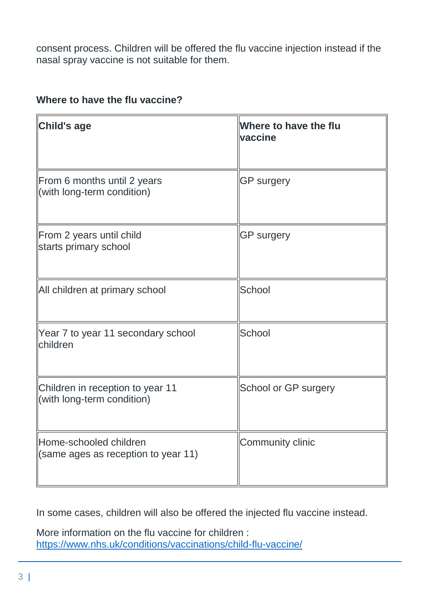consent process. Children will be offered the flu vaccine injection instead if the nasal spray vaccine is not suitable for them.

### **Where to have the flu vaccine?**

| Child's age                                                    | Where to have the flu<br>vaccine |
|----------------------------------------------------------------|----------------------------------|
| From 6 months until 2 years<br>(with long-term condition)      | <b>GP surgery</b>                |
| From 2 years until child<br>starts primary school              | <b>GP surgery</b>                |
| All children at primary school                                 | School                           |
| Year 7 to year 11 secondary school<br>children                 | School                           |
| Children in reception to year 11<br>(with long-term condition) | School or GP surgery             |
| Home-schooled children<br>(same ages as reception to year 11)  | Community clinic                 |

In some cases, children will also be offered the injected flu vaccine instead.

More information on the flu vaccine for children : <https://www.nhs.uk/conditions/vaccinations/child-flu-vaccine/>